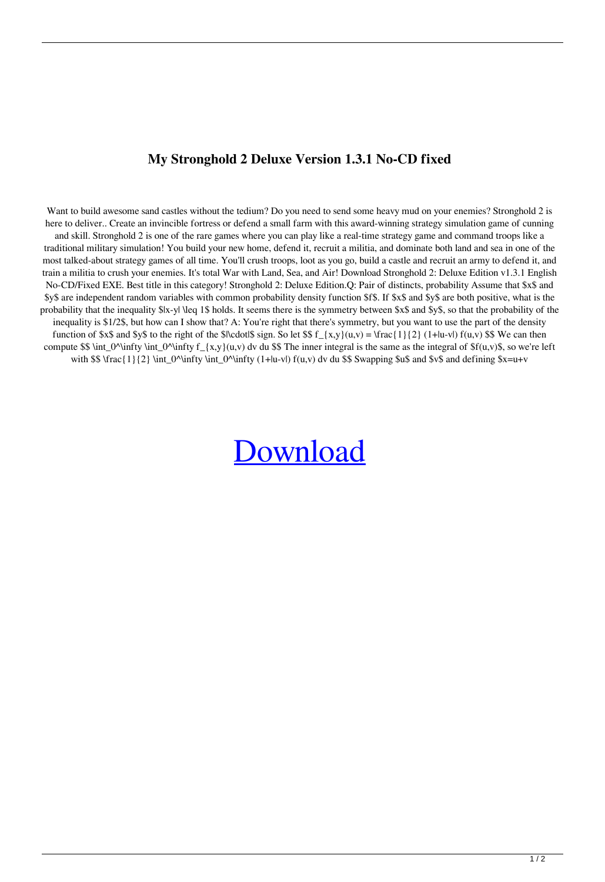## **My Stronghold 2 Deluxe Version 1.3.1 No-CD fixed**

Want to build awesome sand castles without the tedium? Do you need to send some heavy mud on your enemies? Stronghold 2 is here to deliver.. Create an invincible fortress or defend a small farm with this award-winning strategy simulation game of cunning and skill. Stronghold 2 is one of the rare games where you can play like a real-time strategy game and command troops like a traditional military simulation! You build your new home, defend it, recruit a militia, and dominate both land and sea in one of the most talked-about strategy games of all time. You'll crush troops, loot as you go, build a castle and recruit an army to defend it, and train a militia to crush your enemies. It's total War with Land, Sea, and Air! Download Stronghold 2: Deluxe Edition v1.3.1 English No-CD/Fixed EXE. Best title in this category! Stronghold 2: Deluxe Edition.Q: Pair of distincts, probability Assume that \$x\$ and \$y\$ are independent random variables with common probability density function \$f\$. If \$x\$ and \$y\$ are both positive, what is the probability that the inequality \$|x-y| \leq 1\$ holds. It seems there is the symmetry between \$x\$ and \$y\$, so that the probability of the inequality is \$1/2\$, but how can I show that? A: You're right that there's symmetry, but you want to use the part of the density function of \$x\$ and \$y\$ to the right of the \$|\cdot|\$ sign. So let \$\$  $f_{x,y}(u,v) = \frac{1}{2} (1+|u-v|) f(u,v)$  \$\$ We can then compute \$\$ \int\_0^\infty \int\_0^\infty f\_{x,y}(u,v) dv du \$\$ The inner integral is the same as the integral of  $f(u,v)$ \$, so we're left with \$\$  $\frac{1}{2} \int_0^\infty \int_0^\infty (1+|u-v|) f(u,v) dv du$  \$\$ Swapping \$u\$ and \$v\$ and defining \$x=u+v

## [Download](http://evacdir.com/endocrinologists/c3Ryb25naG9sZCAyIGRlbHV4ZSB2LiAxLjMuMSBubyBjZAc3R/escrowed.refluxing.gown.forclosure/ZG93bmxvYWR8b0wxWkhwMWJYeDhNVFkxTlRnME1qazRNWHg4TWpVNU1IeDhLRTBwSUZkdmNtUndjbVZ6Y3lCYldFMU1VbEJESUZZeUlGQkVSbDA/lifeline/scorekeeper/)